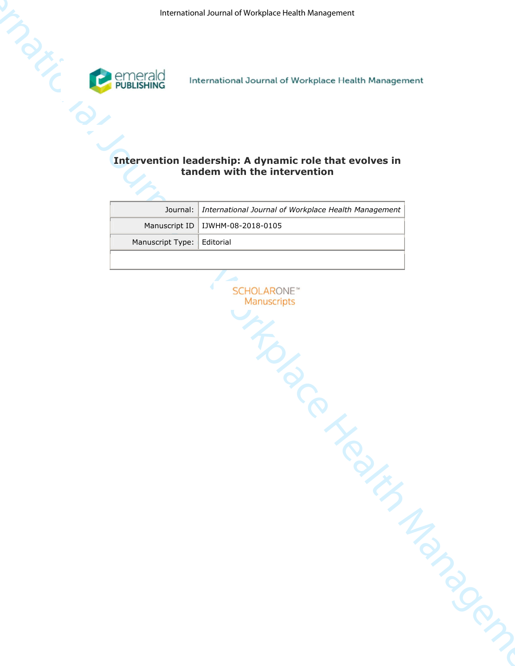

## **tandem with the intervention**

| <b>PRESERVE</b> | emerald<br>PUBLISHING | International Journal of Workplace Health Management    |  |
|-----------------|-----------------------|---------------------------------------------------------|--|
|                 |                       |                                                         |  |
|                 |                       |                                                         |  |
|                 |                       | Intervention leadership: A dynamic role that evolves in |  |
|                 |                       | tandem with the intervention                            |  |
|                 |                       |                                                         |  |
|                 | Journal:              | International Journal of Workplace Health Management    |  |
|                 | Manuscript ID         | IJWHM-08-2018-0105                                      |  |
|                 | Manuscript Type:      | Editorial                                               |  |
|                 |                       |                                                         |  |
|                 |                       |                                                         |  |
|                 |                       | <b>SCHOLARONE</b> <sup>™</sup>                          |  |
|                 |                       | Manuscripts                                             |  |
|                 |                       |                                                         |  |
|                 |                       |                                                         |  |
|                 |                       |                                                         |  |
|                 |                       |                                                         |  |
|                 |                       |                                                         |  |
|                 |                       |                                                         |  |
|                 |                       |                                                         |  |
|                 |                       |                                                         |  |
|                 |                       |                                                         |  |
|                 |                       |                                                         |  |
|                 |                       |                                                         |  |
|                 |                       |                                                         |  |
|                 |                       |                                                         |  |
|                 |                       |                                                         |  |
|                 |                       |                                                         |  |
|                 |                       |                                                         |  |
|                 |                       |                                                         |  |
|                 |                       |                                                         |  |
|                 |                       |                                                         |  |
|                 |                       | Ce Health Manager                                       |  |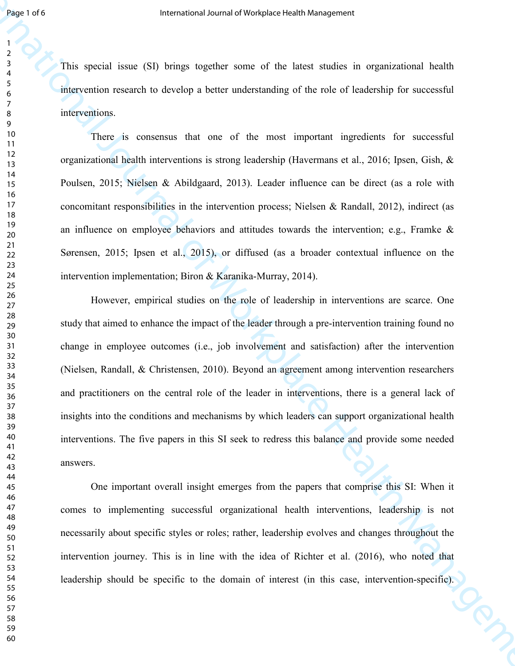This special issue (SI) brings together some of the latest studies in organizational health intervention research to develop a better understanding of the role of leadership for successful interventions.

There is consensus that one of the most important ingredients for successful organizational health interventions is strong leadership (Havermans et al., 2016; Ipsen, Gish, & Poulsen, 2015; Nielsen & Abildgaard, 2013). Leader influence can be direct (as a role with concomitant responsibilities in the intervention process; Nielsen & Randall, 2012), indirect (as an influence on employee behaviors and attitudes towards the intervention; e.g., Framke & Sørensen, 2015; Ipsen et al., 2015), or diffused (as a broader contextual influence on the intervention implementation; Biron & Karanika-Murray, 2014).

**Franchot Law and States (SI)** burge to the simulation of the latter in our endeavolet contents of the metallical process of the metallical process of the simulation of the simulation of the metallical process of Manageme However, empirical studies on the role of leadership in interventions are scarce. One study that aimed to enhance the impact of the leader through a pre-intervention training found no change in employee outcomes (i.e., job involvement and satisfaction) after the intervention (Nielsen, Randall, & Christensen, 2010). Beyond an agreement among intervention researchers and practitioners on the central role of the leader in interventions, there is a general lack of insights into the conditions and mechanisms by which leaders can support organizational health interventions. The five papers in this SI seek to redress this balance and provide some needed answers.

One important overall insight emerges from the papers that comprise this SI: When it comes to implementing successful organizational health interventions, leadership is not necessarily about specific styles or roles; rather, leadership evolves and changes throughout the intervention journey. This is in line with the idea of Richter et al. (2016), who noted that leadership should be specific to the domain of interest (in this case, intervention-specific).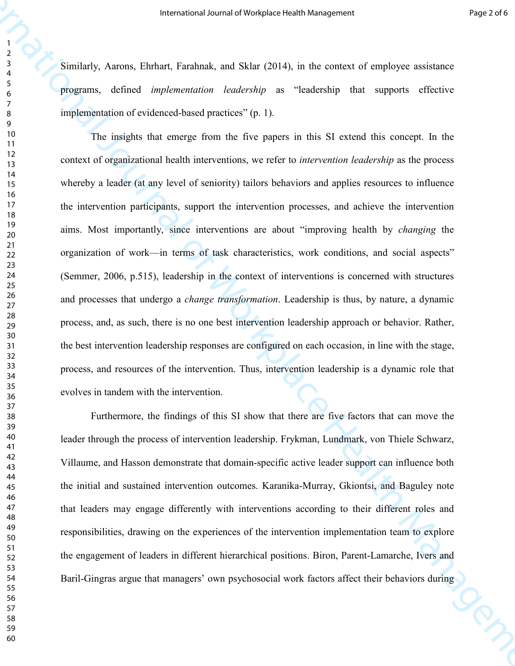Similarly, Aarons, Ehrhart, Farahnak, and Sklar (2014), in the context of employee assistance programs, defined *implementation leadership* as "leadership that supports effective implementation of evidenced-based practices" (p. 1).

**International of Workplace Health Management** Process and  $\frac{1}{2}$ <br> **Example 19**<br> **A** simulatily, Annen, Unitinal, Each with a COUA in the source of surprise ensulation<br>  $\frac{1}{2}$  engineers, datined implementation descr The insights that emerge from the five papers in this SI extend this concept. In the context of organizational health interventions, we refer to *intervention leadership* as the process whereby a leader (at any level of seniority) tailors behaviors and applies resources to influence the intervention participants, support the intervention processes, and achieve the intervention aims. Most importantly, since interventions are about "improving health by *changing* the organization of work—in terms of task characteristics, work conditions, and social aspects" (Semmer, 2006, p.515), leadership in the context of interventions is concerned with structures and processes that undergo a *change transformation*. Leadership is thus, by nature, a dynamic process, and, as such, there is no one best intervention leadership approach or behavior. Rather, the best intervention leadership responses are configured on each occasion, in line with the stage, process, and resources of the intervention. Thus, intervention leadership is a dynamic role that evolves in tandem with the intervention.

Furthermore, the findings of this SI show that there are five factors that can move the leader through the process of intervention leadership. Frykman, Lundmark, von Thiele Schwarz, Villaume, and Hasson demonstrate that domain-specific active leader support can influence both the initial and sustained intervention outcomes. Karanika-Murray, Gkiontsi, and Baguley note that leaders may engage differently with interventions according to their different roles and responsibilities, drawing on the experiences of the intervention implementation team to explore the engagement of leaders in different hierarchical positions. Biron, Parent-Lamarche, Ivers and Baril-Gingras argue that managers' own psychosocial work factors affect their behaviors during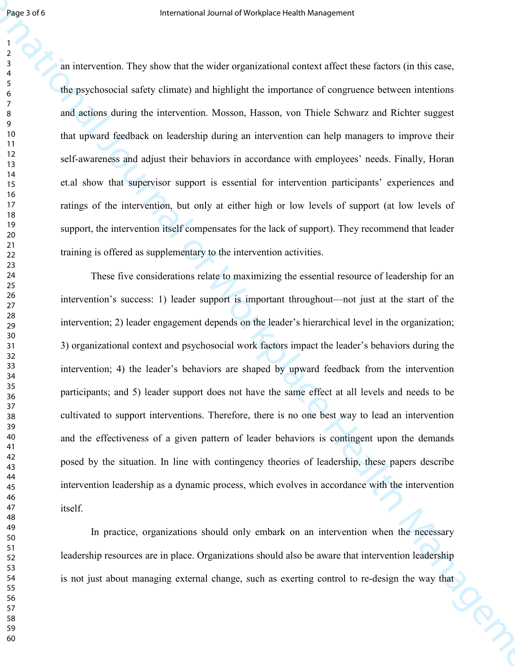an intervention. They show that the wider organizational context affect these factors (in this case, the psychosocial safety climate) and highlight the importance of congruence between intentions and actions during the intervention. Mosson, Hasson, von Thiele Schwarz and Richter suggest that upward feedback on leadership during an intervention can help managers to improve their self-awareness and adjust their behaviors in accordance with employees' needs. Finally, Horan et.al show that supervisor support is essential for intervention participants' experiences and ratings of the intervention, but only at either high or low levels of support (at low levels of support, the intervention itself compensates for the lack of support). They recommend that leader training is offered as supplementary to the intervention activities.

**INTERFECT CONSULTERATION**<br>
International Constraint (System and the selection of Management Constraint (System and the selection of the properties) and properties of the Management Management Management Management Manage These five considerations relate to maximizing the essential resource of leadership for an intervention's success: 1) leader support is important throughout—not just at the start of the intervention; 2) leader engagement depends on the leader's hierarchical level in the organization; 3) organizational context and psychosocial work factors impact the leader's behaviors during the intervention; 4) the leader's behaviors are shaped by upward feedback from the intervention participants; and 5) leader support does not have the same effect at all levels and needs to be cultivated to support interventions. Therefore, there is no one best way to lead an intervention and the effectiveness of a given pattern of leader behaviors is contingent upon the demands posed by the situation. In line with contingency theories of leadership, these papers describe intervention leadership as a dynamic process, which evolves in accordance with the intervention itself.

In practice, organizations should only embark on an intervention when the necessary leadership resources are in place. Organizations should also be aware that intervention leadership is not just about managing external change, such as exerting control to re-design the way that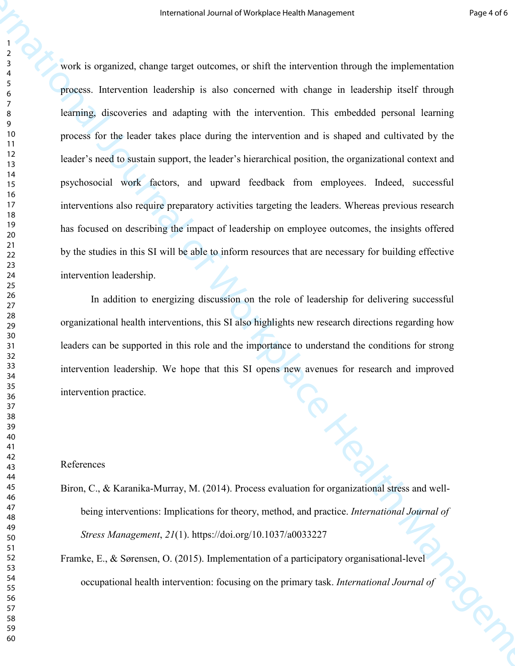**International of Workplace Health Management**<br> **Process the computered, change larged materness, on shall the anterestion should be unphermentation<br>**  $\frac{1}{2}$ **<br>**  $\frac{1}{2}$ **<br>**  $\frac{1}{2}$ **<br>**  $\frac{1}{2}$ **<br>**  $\frac{1}{2}$ **<br>**  $\frac{1}{2}$ **<br> \frac{1** work is organized, change target outcomes, or shift the intervention through the implementation process. Intervention leadership is also concerned with change in leadership itself through learning, discoveries and adapting with the intervention. This embedded personal learning process for the leader takes place during the intervention and is shaped and cultivated by the leader's need to sustain support, the leader's hierarchical position, the organizational context and psychosocial work factors, and upward feedback from employees. Indeed, successful interventions also require preparatory activities targeting the leaders. Whereas previous research has focused on describing the impact of leadership on employee outcomes, the insights offered by the studies in this SI will be able to inform resources that are necessary for building effective intervention leadership.

In addition to energizing discussion on the role of leadership for delivering successful organizational health interventions, this SI also highlights new research directions regarding how leaders can be supported in this role and the importance to understand the conditions for strong intervention leadership. We hope that this SI opens new avenues for research and improved intervention practice.

## References

- Biron, C., & Karanika-Murray, M. (2014). Process evaluation for organizational stress and wellbeing interventions: Implications for theory, method, and practice. *International Journal of Stress Management*, *21*(1). https://doi.org/10.1037/a0033227
- Framke, E., & Sørensen, O. (2015). Implementation of a participatory organisational-level occupational health intervention: focusing on the primary task. *International Journal of*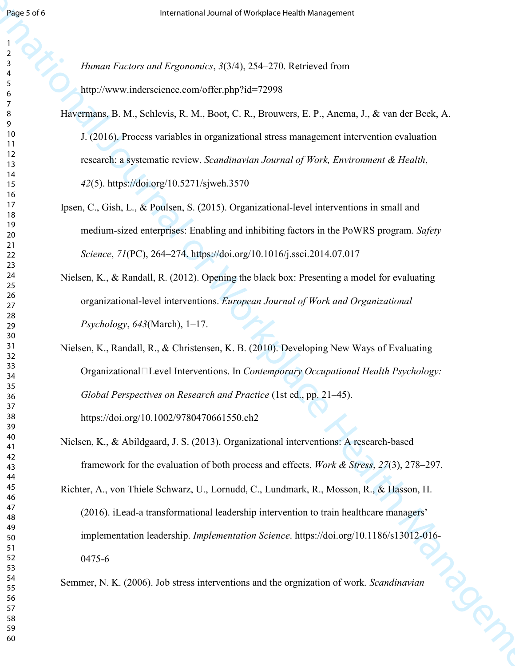*Human Factors and Ergonomics*, *3*(3/4), 254–270. Retrieved from http://www.inderscience.com/offer.php?id=72998

- **International of Management Management Management Management Management Management Management Management Management Management Management Management Management Management Management Management Management Management Manag** Havermans, B. M., Schlevis, R. M., Boot, C. R., Brouwers, E. P., Anema, J., & van der Beek, A. J. (2016). Process variables in organizational stress management intervention evaluation research: a systematic review. *Scandinavian Journal of Work, Environment & Health*, (5). https://doi.org/10.5271/sjweh.3570
	- Ipsen, C., Gish, L., & Poulsen, S. (2015). Organizational-level interventions in small and medium-sized enterprises: Enabling and inhibiting factors in the PoWRS program. *Safety Science*, *71*(PC), 264–274. https://doi.org/10.1016/j.ssci.2014.07.017
	- Nielsen, K., & Randall, R. (2012). Opening the black box: Presenting a model for evaluating organizational-level interventions. *European Journal of Work and Organizational Psychology*, *643*(March), 1–17.
	- Nielsen, K., Randall, R., & Christensen, K. B. (2010). Developing New Ways of Evaluating OrganizationalL Level Interventions. In *Contemporary Occupational Health Psychology*: *Global Perspectives on Research and Practice* (1st ed., pp. 21–45). https://doi.org/10.1002/9780470661550.ch2
	- Nielsen, K., & Abildgaard, J. S. (2013). Organizational interventions: A research-based framework for the evaluation of both process and effects. *Work & Stress*, *27*(3), 278–297.

Richter, A., von Thiele Schwarz, U., Lornudd, C., Lundmark, R., Mosson, R., & Hasson, H. (2016). iLead-a transformational leadership intervention to train healthcare managers' implementation leadership. *Implementation Science*. https://doi.org/10.1186/s13012-016-<br>0475-6<br>mer, N. K. (2006). Job stress interventions and the orgnization of work. *Scandinavian* 0475-6

Semmer, N. K. (2006). Job stress interventions and the orgnization of work. *Scandinavian*